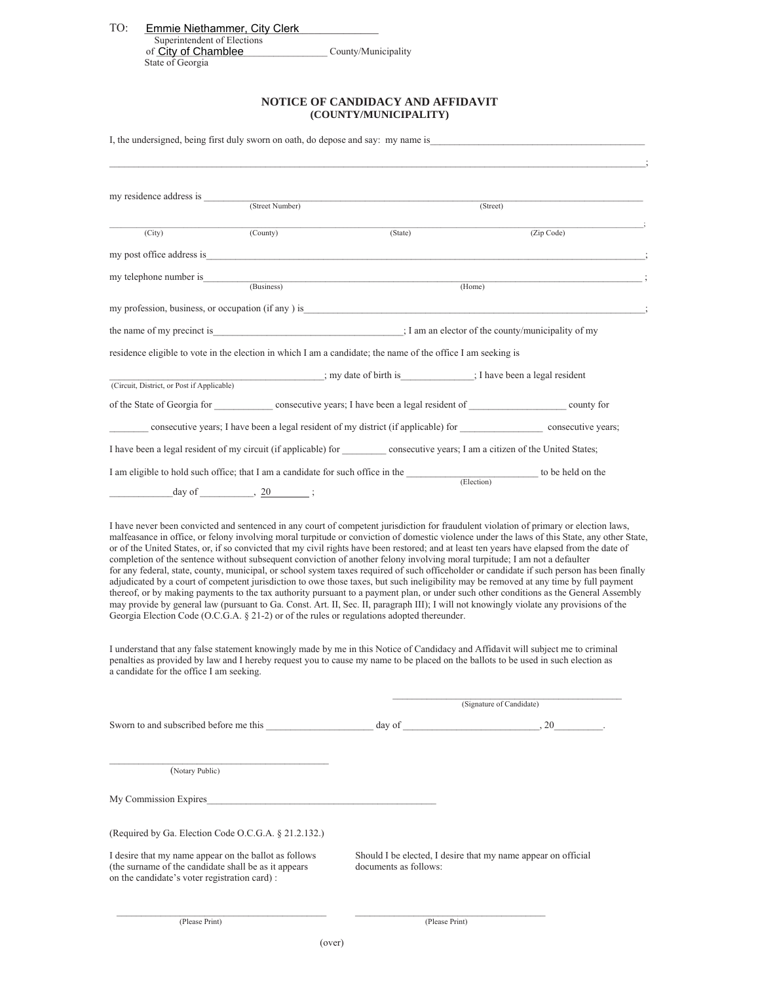| TO: | Emmie Niethammer, City Clerk |                     |  |
|-----|------------------------------|---------------------|--|
|     | Superintendent of Elections  |                     |  |
|     | of City of Chamblee          | County/Municipality |  |

## of **City of Chamblee**<br>State of Georgia

**NOTICE OF CANDIDACY AND AFFIDAVIT (COUNTY/MUNICIPALITY)** 

| I, the undersigned, being first duly sworn on oath, do depose and say: my name is |          |                                                                                                                                                                                                                                                                                                                                                                                                                                                                                                                                                                                                                                                                                                                                                                                                                                                                                                                                                                                                                                                                                                                                                                                                                                                                                                                                                                                                                                                                                                                              |                          |  |
|-----------------------------------------------------------------------------------|----------|------------------------------------------------------------------------------------------------------------------------------------------------------------------------------------------------------------------------------------------------------------------------------------------------------------------------------------------------------------------------------------------------------------------------------------------------------------------------------------------------------------------------------------------------------------------------------------------------------------------------------------------------------------------------------------------------------------------------------------------------------------------------------------------------------------------------------------------------------------------------------------------------------------------------------------------------------------------------------------------------------------------------------------------------------------------------------------------------------------------------------------------------------------------------------------------------------------------------------------------------------------------------------------------------------------------------------------------------------------------------------------------------------------------------------------------------------------------------------------------------------------------------------|--------------------------|--|
|                                                                                   |          |                                                                                                                                                                                                                                                                                                                                                                                                                                                                                                                                                                                                                                                                                                                                                                                                                                                                                                                                                                                                                                                                                                                                                                                                                                                                                                                                                                                                                                                                                                                              |                          |  |
|                                                                                   |          | (Street)                                                                                                                                                                                                                                                                                                                                                                                                                                                                                                                                                                                                                                                                                                                                                                                                                                                                                                                                                                                                                                                                                                                                                                                                                                                                                                                                                                                                                                                                                                                     |                          |  |
|                                                                                   |          |                                                                                                                                                                                                                                                                                                                                                                                                                                                                                                                                                                                                                                                                                                                                                                                                                                                                                                                                                                                                                                                                                                                                                                                                                                                                                                                                                                                                                                                                                                                              |                          |  |
| (City)                                                                            | (County) | (State)                                                                                                                                                                                                                                                                                                                                                                                                                                                                                                                                                                                                                                                                                                                                                                                                                                                                                                                                                                                                                                                                                                                                                                                                                                                                                                                                                                                                                                                                                                                      | (Zip Code)               |  |
| my post office address is                                                         |          |                                                                                                                                                                                                                                                                                                                                                                                                                                                                                                                                                                                                                                                                                                                                                                                                                                                                                                                                                                                                                                                                                                                                                                                                                                                                                                                                                                                                                                                                                                                              |                          |  |
|                                                                                   |          | (Home)                                                                                                                                                                                                                                                                                                                                                                                                                                                                                                                                                                                                                                                                                                                                                                                                                                                                                                                                                                                                                                                                                                                                                                                                                                                                                                                                                                                                                                                                                                                       |                          |  |
|                                                                                   |          |                                                                                                                                                                                                                                                                                                                                                                                                                                                                                                                                                                                                                                                                                                                                                                                                                                                                                                                                                                                                                                                                                                                                                                                                                                                                                                                                                                                                                                                                                                                              |                          |  |
|                                                                                   |          | the name of my precinct is interest in the name of my precinct is interest in the name of my precinct is                                                                                                                                                                                                                                                                                                                                                                                                                                                                                                                                                                                                                                                                                                                                                                                                                                                                                                                                                                                                                                                                                                                                                                                                                                                                                                                                                                                                                     |                          |  |
|                                                                                   |          | residence eligible to vote in the election in which I am a candidate; the name of the office I am seeking is                                                                                                                                                                                                                                                                                                                                                                                                                                                                                                                                                                                                                                                                                                                                                                                                                                                                                                                                                                                                                                                                                                                                                                                                                                                                                                                                                                                                                 |                          |  |
|                                                                                   |          | ; my date of birth is : Thave been a legal resident                                                                                                                                                                                                                                                                                                                                                                                                                                                                                                                                                                                                                                                                                                                                                                                                                                                                                                                                                                                                                                                                                                                                                                                                                                                                                                                                                                                                                                                                          |                          |  |
| (Circuit, District, or Post if Applicable)                                        |          |                                                                                                                                                                                                                                                                                                                                                                                                                                                                                                                                                                                                                                                                                                                                                                                                                                                                                                                                                                                                                                                                                                                                                                                                                                                                                                                                                                                                                                                                                                                              |                          |  |
|                                                                                   |          | of the State of Georgia for consecutive years; I have been a legal resident of county for                                                                                                                                                                                                                                                                                                                                                                                                                                                                                                                                                                                                                                                                                                                                                                                                                                                                                                                                                                                                                                                                                                                                                                                                                                                                                                                                                                                                                                    |                          |  |
|                                                                                   |          | consecutive years; I have been a legal resident of my district (if applicable) for _______________________ consecutive years;                                                                                                                                                                                                                                                                                                                                                                                                                                                                                                                                                                                                                                                                                                                                                                                                                                                                                                                                                                                                                                                                                                                                                                                                                                                                                                                                                                                                |                          |  |
|                                                                                   |          | I have been a legal resident of my circuit (if applicable) for consecutive years; I am a citizen of the United States;                                                                                                                                                                                                                                                                                                                                                                                                                                                                                                                                                                                                                                                                                                                                                                                                                                                                                                                                                                                                                                                                                                                                                                                                                                                                                                                                                                                                       |                          |  |
|                                                                                   |          | I am eligible to hold such office; that I am a candidate for such office in the <b>CE</b> (Election) to be held on the                                                                                                                                                                                                                                                                                                                                                                                                                                                                                                                                                                                                                                                                                                                                                                                                                                                                                                                                                                                                                                                                                                                                                                                                                                                                                                                                                                                                       |                          |  |
| $\frac{\text{day of}}{\text{day of}}$ , 20 ;                                      |          |                                                                                                                                                                                                                                                                                                                                                                                                                                                                                                                                                                                                                                                                                                                                                                                                                                                                                                                                                                                                                                                                                                                                                                                                                                                                                                                                                                                                                                                                                                                              |                          |  |
| a candidate for the office I am seeking.                                          |          | I have never been convicted and sentenced in any court of competent jurisdiction for fraudulent violation of primary or election laws,<br>malfeasance in office, or felony involving moral turpitude or conviction of domestic violence under the laws of this State, any other State,<br>or of the United States, or, if so convicted that my civil rights have been restored; and at least ten years have elapsed from the date of<br>completion of the sentence without subsequent conviction of another felony involving moral turpitude; I am not a defaulter<br>for any federal, state, county, municipal, or school system taxes required of such officeholder or candidate if such person has been finally<br>adjudicated by a court of competent jurisdiction to owe those taxes, but such ineligibility may be removed at any time by full payment<br>thereof, or by making payments to the tax authority pursuant to a payment plan, or under such other conditions as the General Assembly<br>may provide by general law (pursuant to Ga. Const. Art. II, Sec. II, paragraph III); I will not knowingly violate any provisions of the<br>Georgia Election Code (O.C.G.A. $\S$ 21-2) or of the rules or regulations adopted the reunder.<br>I understand that any false statement knowingly made by me in this Notice of Candidacy and Affidavit will subject me to criminal<br>penalties as provided by law and I hereby request you to cause my name to be placed on the ballots to be used in such election as | (Signature of Candidate) |  |
|                                                                                   |          |                                                                                                                                                                                                                                                                                                                                                                                                                                                                                                                                                                                                                                                                                                                                                                                                                                                                                                                                                                                                                                                                                                                                                                                                                                                                                                                                                                                                                                                                                                                              |                          |  |
| (Notary Public)<br>My Commission Expires                                          |          |                                                                                                                                                                                                                                                                                                                                                                                                                                                                                                                                                                                                                                                                                                                                                                                                                                                                                                                                                                                                                                                                                                                                                                                                                                                                                                                                                                                                                                                                                                                              |                          |  |

(Required by Ga. Election Code O.C.G.A. § 21.2.132.)

I desire that my name appear on the ballot as follows (the surname of the candidate shall be as it appears on the candidate's voter registration card) :

Should I be elected, I desire that my name appear on official documents as follows:

(Please Print) (Please Print)

 $\mathcal{L}_\text{max}$  , and the contribution of the contribution of the contribution of the contribution of the contribution of the contribution of the contribution of the contribution of the contribution of the contribution of t